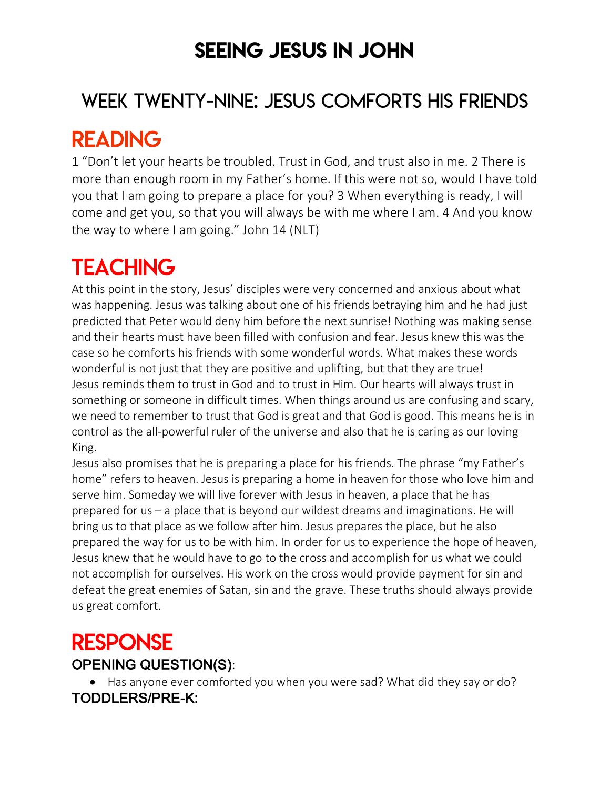# SEEING JESUS IN JOHN

# WEEK TWENTY-NINE: JESUS COMFORTS HIS FRIENDS

# READING

1 "Don't let your hearts be troubled. Trust in God, and trust also in me. 2 There is more than enough room in my Father's home. If this were not so, would I have told you that I am going to prepare a place for you? 3 When everything is ready, I will come and get you, so that you will always be with me where I am. 4 And you know the way to where I am going." John 14 (NLT)

# **TEACHING**

At this point in the story, Jesus' disciples were very concerned and anxious about what was happening. Jesus was talking about one of his friends betraying him and he had just predicted that Peter would deny him before the next sunrise! Nothing was making sense and their hearts must have been filled with confusion and fear. Jesus knew this was the case so he comforts his friends with some wonderful words. What makes these words wonderful is not just that they are positive and uplifting, but that they are true! Jesus reminds them to trust in God and to trust in Him. Our hearts will always trust in something or someone in difficult times. When things around us are confusing and scary, we need to remember to trust that God is great and that God is good. This means he is in control as the all-powerful ruler of the universe and also that he is caring as our loving King.

Jesus also promises that he is preparing a place for his friends. The phrase "my Father's home" refers to heaven. Jesus is preparing a home in heaven for those who love him and serve him. Someday we will live forever with Jesus in heaven, a place that he has prepared for us – a place that is beyond our wildest dreams and imaginations. He will bring us to that place as we follow after him. Jesus prepares the place, but he also prepared the way for us to be with him. In order for us to experience the hope of heaven, Jesus knew that he would have to go to the cross and accomplish for us what we could not accomplish for ourselves. His work on the cross would provide payment for sin and defeat the great enemies of Satan, sin and the grave. These truths should always provide us great comfort.

### RESPONSE OPENING QUESTION(S):

• Has anyone ever comforted you when you were sad? What did they say or do? TODDLERS/PRE-K: